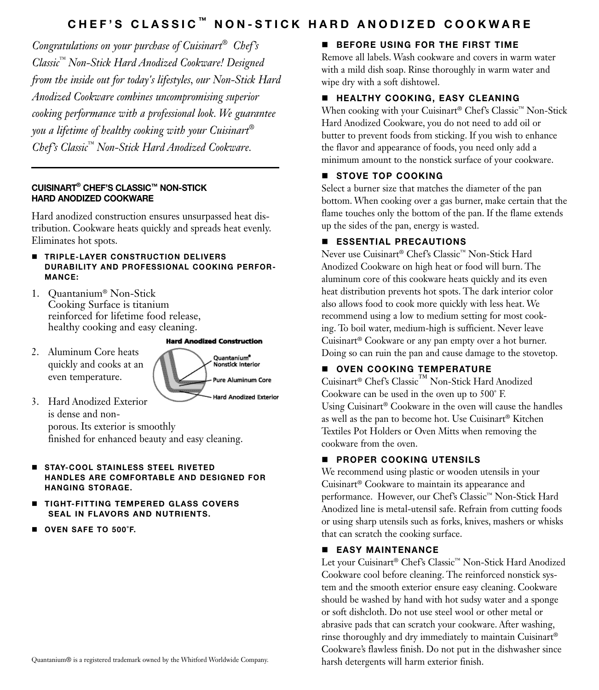### CHEF'S CLASSIC<sup>™</sup> NON-STICK HARD ANODIZED COOKWARE

*Congratulations on your purchase of Cuisinart® Chef's Classic™ Non-Stick Hard Anodized Cookware! Designed from the inside out for today's lifestyles, our Non-Stick Hard Anodized Cookware combines uncompromising superior cooking performance with a professional look. We guarantee you a lifetime of healthy cooking with your Cuisinart® Chef's Classic™ Non-Stick Hard Anodized Cookware.*

#### Cuisinart® chef's classic™ Non-Stick Hard Anodized Cookware

Hard anodized construction ensures unsurpassed heat distribution. Cookware heats quickly and spreads heat evenly. Eliminates hot spots.

- **FIRIPLE-LAYER CONSTRUCTION DELIVERS** durability and professional cooking performanCE:
- 1. Quantanium® Non-Stick Cooking Surface is titanium reinforced for lifetime food release, healthy cooking and easy cleaning.

**Hard Anodized Construction** 

2. Aluminum Core heats quickly and cooks at an even temperature.



- 3. Hard Anodized Exterior is dense and nonporous. Its exterior is smoothly finished for enhanced beauty and easy cleaning.
- **STAY-COOL STAINLESS STEEL RIVETED** handles are comfortable and designed for hanging storage.
- **TIGHT-FITTING TEMPERED GLASS COVERS** seal in flavors and nutrients.
- OVEN SAFE TO 500°F.

#### **BEFORE USING FOR THE FIRST TIME**

Remove all labels. Wash cookware and covers in warm water with a mild dish soap. Rinse thoroughly in warm water and wipe dry with a soft dishtowel.

#### **E HEALTHY COOKING, EASY CLEANING**

When cooking with your Cuisinart® Chef's Classic™ Non-Stick Hard Anodized Cookware, you do not need to add oil or butter to prevent foods from sticking. If you wish to enhance the flavor and appearance of foods, you need only add a minimum amount to the nonstick surface of your cookware.

#### STOVE TOP COOKING

Select a burner size that matches the diameter of the pan bottom. When cooking over a gas burner, make certain that the flame touches only the bottom of the pan. If the flame extends up the sides of the pan, energy is wasted.

#### **ESSENTIAL PRECAUTIONS**

Never use Cuisinart® Chef's Classic™ Non-Stick Hard Anodized Cookware on high heat or food will burn. The aluminum core of this cookware heats quickly and its even heat distribution prevents hot spots. The dark interior color also allows food to cook more quickly with less heat. We recommend using a low to medium setting for most cooking. To boil water, medium-high is sufficient. Never leave Cuisinart® Cookware or any pan empty over a hot burner. Doing so can ruin the pan and cause damage to the stovetop.

#### OVEN COOKING TEMPERATURE

Cuisinart® Chef's Classic™ Non-Stick Hard Anodized Cookware can be used in the oven up to 500˚ F. Using Cuisinart® Cookware in the oven will cause the handles as well as the pan to become hot. Use Cuisinart® Kitchen Textiles Pot Holders or Oven Mitts when removing the cookware from the oven.

#### **PROPER COOKING UTENSILS**

We recommend using plastic or wooden utensils in your Cuisinart® Cookware to maintain its appearance and performance. However, our Chef's Classic™ Non-Stick Hard Anodized line is metal-utensil safe. Refrain from cutting foods or using sharp utensils such as forks, knives, mashers or whisks that can scratch the cooking surface.

#### **EASY MAINTENANCE**

Let your Cuisinart® Chef's Classic™ Non-Stick Hard Anodized Cookware cool before cleaning. The reinforced nonstick system and the smooth exterior ensure easy cleaning. Cookware should be washed by hand with hot sudsy water and a sponge or soft dishcloth. Do not use steel wool or other metal or abrasive pads that can scratch your cookware. After washing, rinse thoroughly and dry immediately to maintain Cuisinart® Cookware's flawless finish. Do not put in the dishwasher since harsh detergents will harm exterior finish.